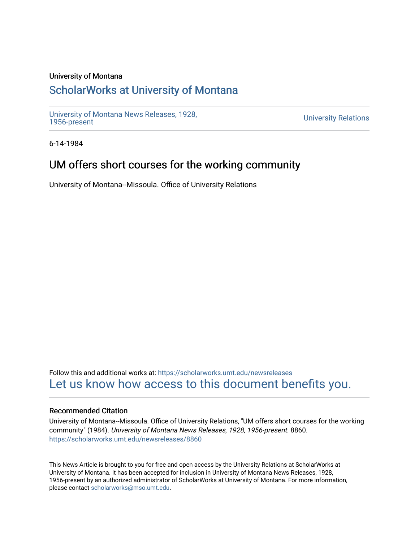### University of Montana

# [ScholarWorks at University of Montana](https://scholarworks.umt.edu/)

[University of Montana News Releases, 1928,](https://scholarworks.umt.edu/newsreleases) 

**University Relations** 

6-14-1984

## UM offers short courses for the working community

University of Montana--Missoula. Office of University Relations

Follow this and additional works at: [https://scholarworks.umt.edu/newsreleases](https://scholarworks.umt.edu/newsreleases?utm_source=scholarworks.umt.edu%2Fnewsreleases%2F8860&utm_medium=PDF&utm_campaign=PDFCoverPages) [Let us know how access to this document benefits you.](https://goo.gl/forms/s2rGfXOLzz71qgsB2) 

### Recommended Citation

University of Montana--Missoula. Office of University Relations, "UM offers short courses for the working community" (1984). University of Montana News Releases, 1928, 1956-present. 8860. [https://scholarworks.umt.edu/newsreleases/8860](https://scholarworks.umt.edu/newsreleases/8860?utm_source=scholarworks.umt.edu%2Fnewsreleases%2F8860&utm_medium=PDF&utm_campaign=PDFCoverPages) 

This News Article is brought to you for free and open access by the University Relations at ScholarWorks at University of Montana. It has been accepted for inclusion in University of Montana News Releases, 1928, 1956-present by an authorized administrator of ScholarWorks at University of Montana. For more information, please contact [scholarworks@mso.umt.edu.](mailto:scholarworks@mso.umt.edu)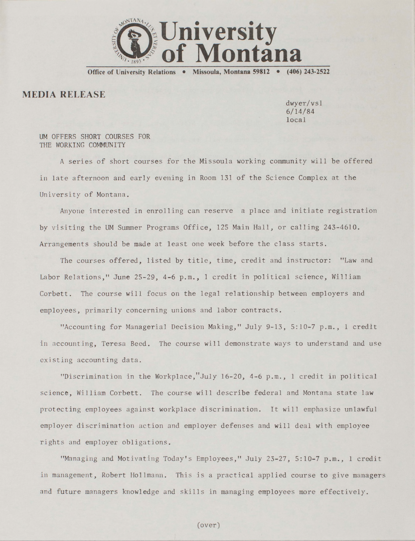

**Office of University Relations • Missoula, Montana 59812 • (406) 243-2522**

## **MEDIA RELEASE**

dwyer/vsl 6/14/84 local

#### UM OFFERS SHORT COURSES FOR THE WORKING COMMUNITY

A series of short courses for the Missoula working community will be offered in late afternoon and early evening in Room 131 of the Science Complex at the University of Montana.

Anyone interested in enrolling can reserve a place and initiate registration by visiting the UM Summer Programs Office, 125 Main Hall, or calling 243-4610. Arrangements should be made at least one week before the class starts.

The courses offered, listed by title, time, credit and instructor: "Law and Labor Relations," June 25-29, 4-6 p.m., 1 credit in political science, William Corbett. The course will focus on the legal relationship between employers and employees, primarily concerning unions and labor contracts.

"Accounting for Managerial Decision Making," July 9-13, 5:10-7 p.m., 1 credit in accounting, Teresa Beed. The course will demonstrate ways to understand and use existing accounting data.

"Discrimination in the Workplace,"July 16-20, 4-6 p.m., 1 credit in political science, William Corbett. The course will describe federal and Montana state law protecting employees against workplace discrimination. It will emphasize unlawful employer discrimination action and employer defenses and will deal with employee rights and employer obligations.

"Managing and Motivating Today's Employees," July 23-27, 5:10-7 p.m., 1 credit in management, Robert Hollmann. This is a practical applied course to give managers and future managers knowledge and skills in managing employees more effectively.